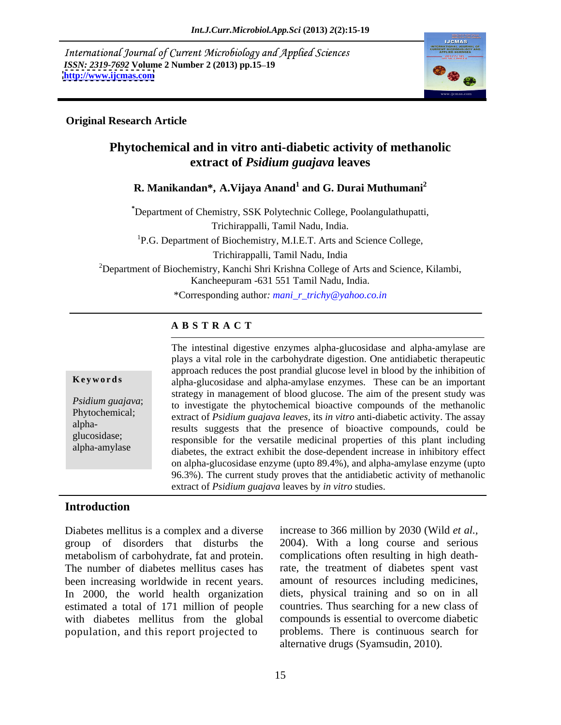International Journal of Current Microbiology and Applied Sciences *ISSN: 2319-7692 Volume 2 Number 2 (2013) pp.15–19 http://www.ijcmas.com* **<http://www.ijcmas.com>**



## **Original Research Article**

## **Phytochemical and in vitro anti-diabetic activity of methanolic extract of** *Psidium guajava* **leaves**

## **R. Manikandan\*, A.Vijaya Anand<sup>1</sup> and G. Durai Muthumani<sup>2</sup>**

**\***Department of Chemistry, SSK Polytechnic College, Poolangulathupatti,

Trichirappalli, Tamil Nadu, India.

<sup>1</sup>P.G. Department of Biochemistry, M.I.E.T. Arts and Science College,

Trichirappalli, Tamil Nadu, India

<sup>2</sup>Department of Biochemistry, Kanchi Shri Krishna College of Arts and Science, Kilambi, Kancheepuram -631 551 Tamil Nadu, India.

\*Corresponding author*: mani\_r\_trichy@yahoo.co.in*

## **A B S T R A C T**

**Keywords** alpha-glucosidase and alpha-amylase enzymes. These can be an important *Psidium guajava*; to investigate the phytochemical bioactive compounds of the methanolic Phytochemical; extract of *Psidium guajava leaves,* its *in vitro* anti-diabetic activity. The assay alpha-<br>results suggests that the presence of bioactive compounds, could be glucosidase;<br>responsible for the versatile medicinal properties of this plant including alpha-amylase diabetes, the extract exhibit the dose-dependent increase in inhibitory effect The intestinal digestive enzymes alpha-glucosidase and alpha-amylase are plays a vital role in the carbohydrate digestion. One antidiabetic therapeutic approach reduces the post prandial glucose level in blood by the inhibition of strategy in management of blood glucose. The aim of the present study was on alpha-glucosidase enzyme (upto 89.4%), and alpha-amylase enzyme (upto 96.3%). The current study proves that the antidiabetic activity of methanolic extract of *Psidium guajava* leaves by *in vitro* studies.

## **Introduction**

Diabetes mellitus is a complex and a diverse group of disorders that disturbs the metabolism of carbohydrate, fat and protein. The number of diabetes mellitus cases has been increasing worldwide in recent years. In 2000, the world health organization estimated a total of 171 million of people with diabetes mellitus from the global population, and this report projected to

increase to 366 million by 2030 (Wild *et al.,* 2004). With a long course and serious complications often resulting in high deathrate, the treatment of diabetes spent vast amount of resources including medicines, diets, physical training and so on in all countries. Thus searching for a new class of compounds is essential to overcome diabetic problems. There is continuous search for alternative drugs (Syamsudin, 2010).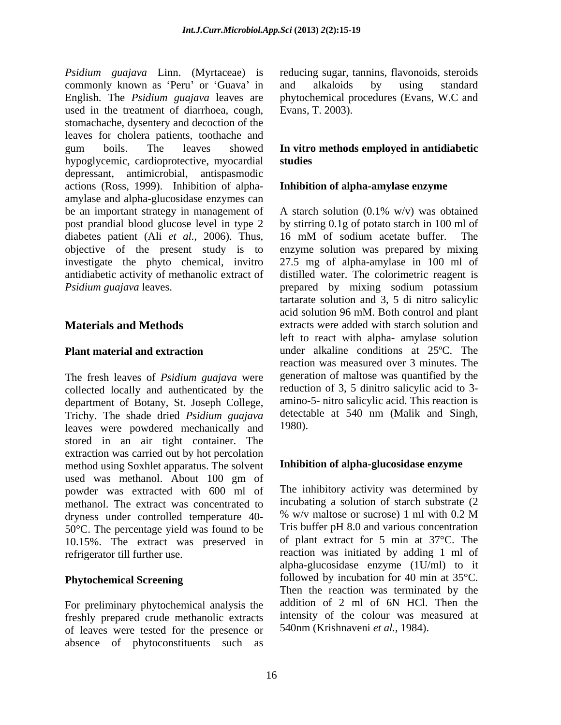*Psidium guajava* Linn. (Myrtaceae) is reducing sugar, tannins, flavonoids, steroids commonly known as 'Peru' or 'Guava' in and alkaloids by using standard English. The *Psidium guajava* leaves are used in the treatment of diarrhoea, cough, stomachache, dysentery and decoction of the leaves for cholera patients, toothache and gum boils. The leaves showed **In vitro methods employed in antidiabetic** hypoglycemic, cardioprotective, myocardial studies depressant, antimicrobial, antispasmodic actions (Ross, 1999). Inhibition of alpha- Inhibition of alpha-amylase enzyme amylase and alpha-glucosidase enzymes can be an important strategy in management of A starch solution (0.1% w/v) was obtained post prandial blood glucose level in type 2 by stirring 0.1g of potato starch in 100 ml of diabetes patient (Ali *et al.,* 2006). Thus, objective of the present study is to investigate the phyto chemical, invitro 27.5 mg of alpha-amylase in 100 ml of antidiabetic activity of methanolic extract of distilled water. The colorimetric reagent is

The fresh leaves of *Psidium guajava* were collected locally and authenticated by the department of Botany, St. Joseph College, Trichy. The shade dried *Psidium guajava* detecta<br>leaves were powdered mechanically and 1980). leaves were powdered mechanically and stored in an air tight container. The extraction was carried out by hot percolation method using Soxhlet apparatus. The solvent used was methanol. About 100 gm of powder was extracted with 600 ml of methanol. The extract was concentrated to incubating a solution of starch substrate  $(2 \text{drvness under controlled temperature } 40 - \frac{96 \text{ W/v}}{8 \text{ m/s}})$  maltose or sucrose) 1 ml with 0.2 M dryness under controlled temperature 40- 50°C. The percentage yield was found to be 10.15%. The extract was preserved in

For preliminary phytochemical analysis the freshly prepared crude methanolic extracts of leaves were tested for the presence or absence of phytoconstituents such as

and alkaloids by using standard phytochemical procedures (Evans, W.C and Evans, T. 2003).

# studies<br>Inhibition of alpha-amylase enzyme

*Psidium guajava* leaves. prepared by mixing sodium potassium **Materials and Methods** extracts were added with starch solution and **Plant material and extraction** under alkaline conditions at 25<sup>o</sup>C. The 16 mM of sodium acetate buffer. The enzyme solution was prepared by mixing tartarate solution and 3, 5 di nitro salicylic acid solution 96 mM. Both control and plant left to react with alpha- amylase solution reaction was measured over 3 minutes. The generation of maltose was quantified by the reduction of 3, 5 dinitro salicylic acid to 3 amino-5- nitro salicylic acid. This reaction is detectable at 540 nm (Malik and Singh, 1980).

## **Inhibition of alpha-glucosidase enzyme**

refrigerator till further use. reaction was initiated by adding 1 ml of **Phytochemical Screening** followed by incubation for 40 min at 35°C. The inhibitory activity was determined by incubating a solution of starch substrate (2 % w/v maltose or sucrose) 1 ml with 0.2 M Tris buffer pH 8.0 and various concentration of plant extract for 5 min at 37°C. The alpha-glucosidase enzyme (1U/ml) to it Then the reaction was terminated by the addition of 2 ml of 6N HCl. Then the intensity of the colour was measured at 540nm (Krishnaveni *et al.,* 1984).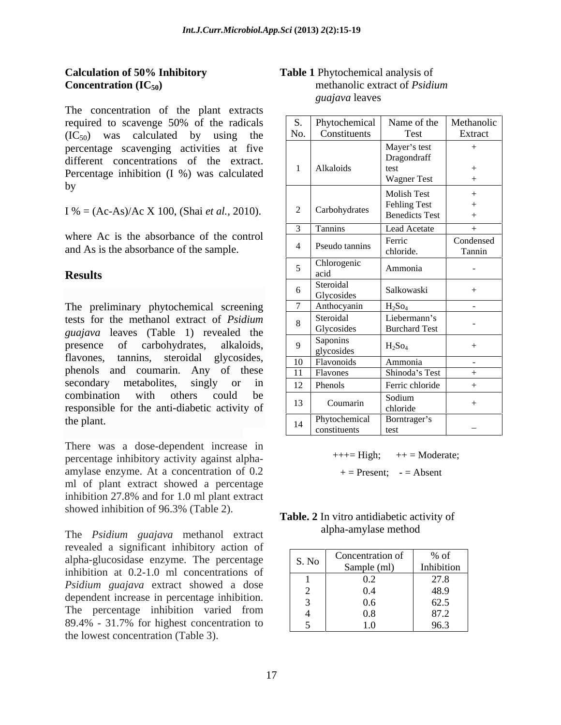The concentration of the plant extracts required to scavenge 50% of the radicals  $(IC_{50})$  was calculated by using the percentage scavenging activities at five different concentrations of the extract. Percentage inhibition (I %) was calculated

There was a dose-dependent increase in percentage inhibitory activity against alpha amylase enzyme. At a concentration of 0.2 ml of plant extract showed a percentage inhibition 27.8% and for 1.0 ml plant extract showed inhibition of 96.3% (Table 2).

The *Psidium guajava* methanol extract revealed a significant inhibitory action of alpha-glucosidase enzyme. The percentage inhibition at 0.2-1.0 ml concentrations of *Psidium guajava* extract showed a dose dependent increase in percentage inhibition. The percentage inhibition varied from 89.4% - 31.7% for highest concentration to the lowest concentration (Table 3).

## **Calculation of 50% Inhibitory Table 1** Phytochemical analysis of **Concentration (IC<sub>50</sub>) methanolic extract of** *Psidium* methanolic extract of *Psidium guajava* leaves

| The concentration of the plant extracts                                              |                     |                              |                             |                      |
|--------------------------------------------------------------------------------------|---------------------|------------------------------|-----------------------------|----------------------|
| required to scavenge 50% of the radicals                                             |                     | S. Phytochemical Name of the |                             | Methanolic           |
| $(IC_{50})$ was calculated by using the                                              | $\vert$ No. $\vert$ | Constituents                 | Test                        | Extract              |
| percentage scavenging activities at five<br>different concentrations of the extract. |                     |                              | Mayer's test<br>Dragondraff |                      |
| Percentage inhibition (I %) was calculated                                           |                     | Alkaloids                    |                             |                      |
|                                                                                      |                     |                              | <b>Wagner Test</b>          |                      |
|                                                                                      |                     |                              | <b>Molish Test</b>          |                      |
|                                                                                      |                     | Carbohydrates                | Fehling Test                |                      |
| I % = $(Ac-As)/Ac X 100$ , (Shai <i>et al.</i> , 2010).                              |                     |                              | <b>Benedicts Test</b>       |                      |
|                                                                                      |                     | Tannins                      | Lead Acetate                |                      |
| where Ac is the absorbance of the control<br>and As is the absorbance of the sample. |                     | Pseudo tannins               | Ferric<br>chloride.         | Condensed<br>Tannin  |
| <b>Results</b>                                                                       |                     | Chlorogenic<br>acid          | Ammonia                     |                      |
|                                                                                      |                     | Steroidal<br>Glycosides      | Salkowaski                  |                      |
| The preliminary phytochemical screening                                              |                     | Anthocyanin                  | $H_2SO_4$                   | $\sim 100$ m $^{-1}$ |
| tests for the methanol extract of Psidium                                            |                     | Steroidal                    | Liebermann's                |                      |
| guajava leaves (Table 1) revealed the                                                |                     | Glycosides                   | <b>Burchard Test</b>        |                      |
| presence of carbohydrates, alkaloids,                                                |                     | Saponins<br>glycosides       | $H_2$ So <sub>4</sub>       |                      |
| flavones, tannins, steroidal glycosides,                                             |                     | 10 Flavonoids                | Ammonia                     |                      |
| phenols and coumarin. Any of these                                                   |                     | Flavones                     | Shinoda's Test              |                      |
| secondary metabolites, singly or in                                                  |                     | 12 Phenols                   | Ferric chloride             |                      |
| combination with others could be<br>responsible for the anti-diabetic activity of    |                     | Coumarin                     | Sodium<br>chloride          |                      |
| the plant.                                                                           |                     | Phytochemical                | Borntrager's                |                      |
|                                                                                      |                     | constituents                 | test                        |                      |

 $+++=$  High;  $++=$  Moderate;

 $+=$  Present;  $-$  = Absent

**Table. 2** In vitro antidiabetic activity of alpha-amylase method

| S. No | Concentration of | $\sim$ $\sim$<br>% of |
|-------|------------------|-----------------------|
|       | Sample (ml)      | Inhibition            |
|       | 0.2              | 27.8                  |
|       | 0.4              | 48.9                  |
|       | 0.6              | 62.5                  |
|       | 0.8              | 87.2                  |
|       | $\Omega$<br>     | 96.3                  |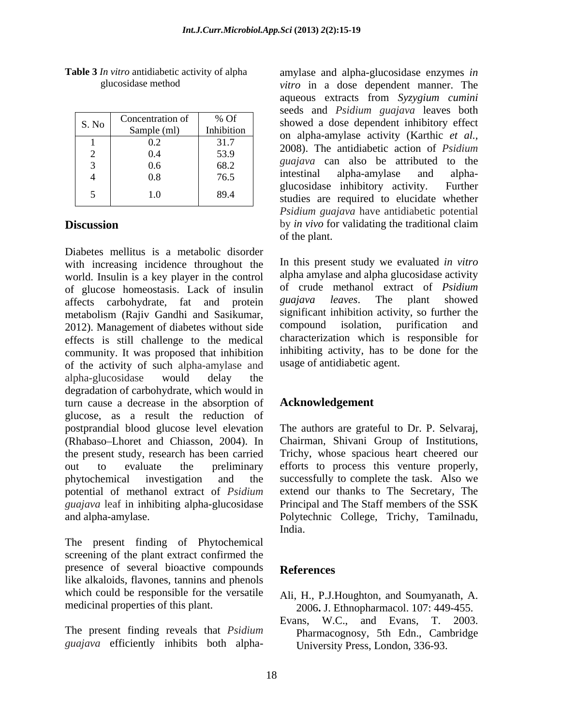| S. No | Concentration of | % Of       |
|-------|------------------|------------|
|       | Sample (ml)      | Inhibition |
|       | 0.2              | 31.7       |
| 2     | 0.4              | 53.9       |
| 3     | 0.6              | 68.2       |
|       | 0.8              | 76.5       |
| 5     | 1.0              | 89.4       |

Diabetes mellitus is a metabolic disorder with increasing incidence throughout the world. Insulin is a key player in the control of glucose homeostasis. Lack of insulin of crude methanol extract of *Psidium*<br>of extracts carbohydrate fat and protein *guajaya leaves*. The plant showed affects carbohydrate, fat and protein metabolism (Rajiv Gandhi and Sasikumar, significant inhibition activity, so further the 2012) Management of diabetes without side compound isolation, purification and 2012). Management of diabetes without side effects is still challenge to the medical community. It was proposed that inhibition of the activity of such alpha-amylase and alpha-glucosidase would delay the degradation of carbohydrate, which would in turn cause a decrease in the absorption of glucose, as a result the reduction of postprandial blood glucose level elevation The authors are grateful to Dr. P. Selvaraj, (Rhabaso Lhoret and Chiasson, 2004). In Chairman, Shivani Group of Institutions, the present study, research has been carried Trichy, whose spacious heart cheered our out to evaluate the preliminary efforts to process this venture properly, phytochemical investigation and the successfully to complete the task. Also we potential of methanol extract of *Psidium guajava* leaf in inhibiting alpha-glucosidase and alpha-amylase. Polytechnic College, Trichy, Tamilnadu,

The present finding of Phytochemical screening of the plant extract confirmed the presence of several bioactive compounds References like alkaloids, flavones, tannins and phenols which could be responsible for the versatile

The present finding reveals that *Psidium*  Pharmacognosy, 5th Edn., Cambridge *guajava* efficiently inhibits both alpha-

**Table 3** *In vitro* antidiabetic activity of alpha amylase and alpha-glucosidase enzymes *in*  glucosidase method *vitro* in a dose dependent manner. The S. No Concentration of  $\begin{array}{c} \%$  Of showed a dose dependent inhibitory effect Sample (ml) Inhibition on alpha-amylase activity (Karthic *et al.,* 1 0.2 31.7 2008). The antidiabetic action of *Psidium*  2  $0.4$  53.9  $2000$ , The annual action of T statum  $3 \quad 0.6 \quad 68.2 \quad 68.2 \quad 8$  and  $3 \quad 0.6$  $4 \mid 0.8 \mid 76.5 \mid$  intestinal alpha-amylase and alpha-5 1.0 89.4 studies are required to elucidate whether **Discussion** by *in vivo* for validating the traditional claim of the plant. aqueous extracts from *Syzygium cumini* seeds and *Psidium guajava* leaves both *guajava* can also be attributed to the intestinal alpha-amylase and alpha glucosidase inhibitory activity. Further *Psidium guajava* have antidiabetic potential by *in vivo* for validating the traditional claim of the plant.

> In this present study we evaluated *in vitro* alpha amylase and alpha glucosidase activity of crude methanol extract of *Psidium guajava leaves*. The plant showed significant inhibition activity, so further the compound isolation, purification and characterization which is responsible for inhibiting activity, has to be done for the usage of antidiabetic agent.

## **Acknowledgement**

extend our thanks to The Secretary, The Principal and The Staff members of the SSK India.

## **References**

- medicinal properties of this plant. 2006**.** J. Ethnopharmacol. 107: 449-455. Ali, H., P.J.Houghton, and Soumyanath, A.
	- Evans, W.C., and Evans, T. 2003. University Press, London, 336-93.